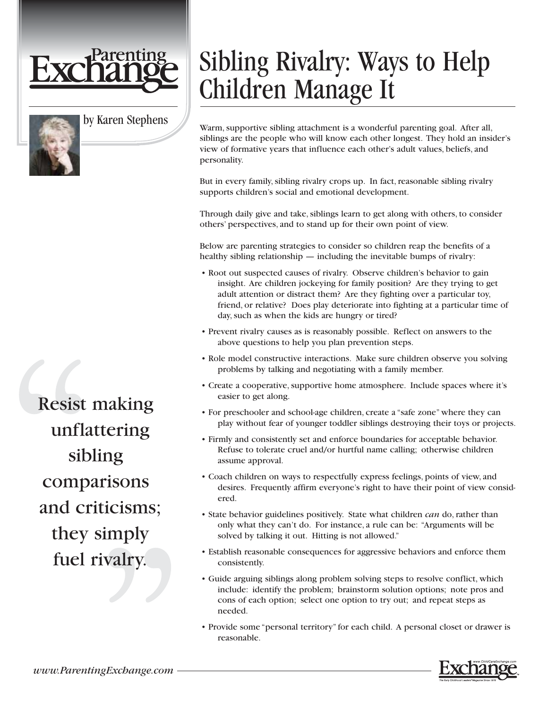

by Karen Stephens

## Sibling Rivalry: Ways to Help Children Manage It

Warm, supportive sibling attachment is a wonderful parenting goal. After all, siblings are the people who will know each other longest. They hold an insider's view of formative years that influence each other's adult values, beliefs, and personality.

But in every family, sibling rivalry crops up. In fact, reasonable sibling rivalry supports children's social and emotional development.

Through daily give and take, siblings learn to get along with others, to consider others' perspectives, and to stand up for their own point of view.

Below are parenting strategies to consider so children reap the benefits of a healthy sibling relationship — including the inevitable bumps of rivalry:

- Root out suspected causes of rivalry. Observe children's behavior to gain insight. Are children jockeying for family position? Are they trying to get adult attention or distract them? Are they fighting over a particular toy, friend, or relative? Does play deteriorate into fighting at a particular time of day, such as when the kids are hungry or tired?
- Prevent rivalry causes as is reasonably possible. Reflect on answers to the above questions to help you plan prevention steps.
- Role model constructive interactions. Make sure children observe you solving problems by talking and negotiating with a family member.
- Create a cooperative, supportive home atmosphere. Include spaces where it's easier to get along.
- For preschooler and school-age children, create a "safe zone" where they can play without fear of younger toddler siblings destroying their toys or projects.
- Firmly and consistently set and enforce boundaries for acceptable behavior. Refuse to tolerate cruel and/or hurtful name calling; otherwise children assume approval.
- Coach children on ways to respectfully express feelings, points of view, and desires. Frequently affirm everyone's right to have their point of view considered.
- State behavior guidelines positively. State what children *can* do, rather than only what they can't do. For instance, a rule can be: "Arguments will be solved by talking it out. Hitting is not allowed."
- Establish reasonable consequences for aggressive behaviors and enforce them consistently.
- Guide arguing siblings along problem solving steps to resolve conflict, which include: identify the problem; brainstorm solution options; note pros and cons of each option; select one option to try out; and repeat steps as needed.
- Provide some "personal territory" for each child. A personal closet or drawer is reasonable.

Resist making unflattering sibling comparisons and criticisms; they simply fuel rivalry.